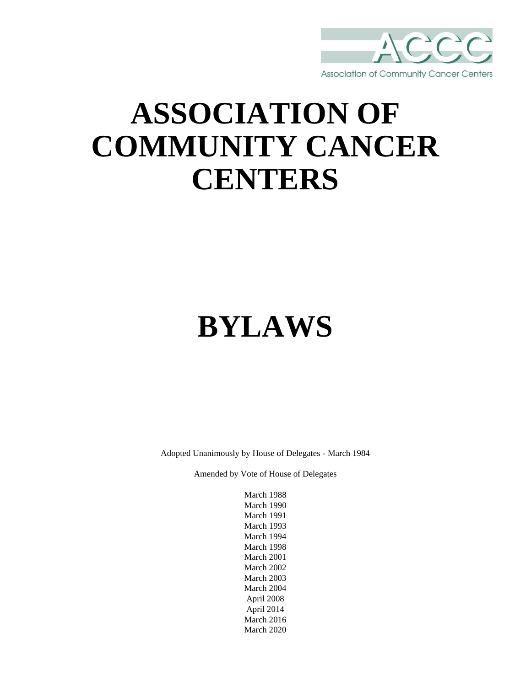

## **ASSOCIATION OF COMMUNITY CANCER CENTERS**

# **BYLAWS**

Adopted Unanimously by House of Delegates - March 1984

Amended by Vote of House of Delegates

March 1988 March 1990 March 1991 March 1993 March 1994 March 1998 March 2001 March 2002 March 2003 March 2004 April 2008 April 2014 March 2016 March 2020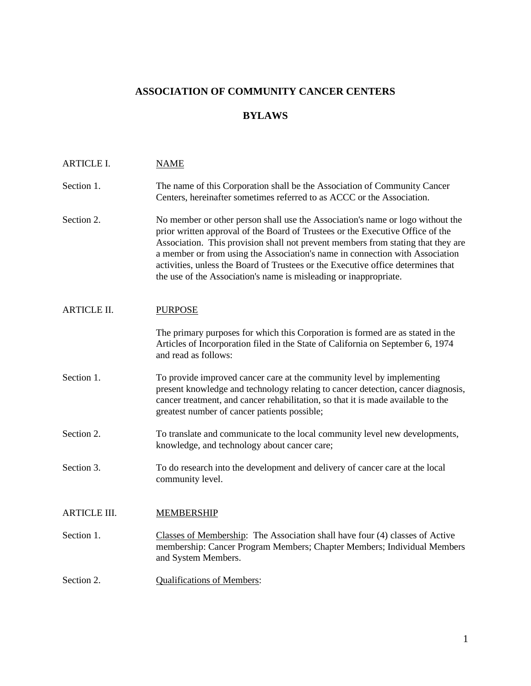## **ASSOCIATION OF COMMUNITY CANCER CENTERS**

## **BYLAWS**

| <b>ARTICLE I.</b>   | <b>NAME</b>                                                                                                                                                                                                                                                                                                                                                                                                                                                                                   |
|---------------------|-----------------------------------------------------------------------------------------------------------------------------------------------------------------------------------------------------------------------------------------------------------------------------------------------------------------------------------------------------------------------------------------------------------------------------------------------------------------------------------------------|
| Section 1.          | The name of this Corporation shall be the Association of Community Cancer<br>Centers, hereinafter sometimes referred to as ACCC or the Association.                                                                                                                                                                                                                                                                                                                                           |
| Section 2.          | No member or other person shall use the Association's name or logo without the<br>prior written approval of the Board of Trustees or the Executive Office of the<br>Association. This provision shall not prevent members from stating that they are<br>a member or from using the Association's name in connection with Association<br>activities, unless the Board of Trustees or the Executive office determines that<br>the use of the Association's name is misleading or inappropriate. |
| <b>ARTICLE II.</b>  | <b>PURPOSE</b>                                                                                                                                                                                                                                                                                                                                                                                                                                                                                |
|                     | The primary purposes for which this Corporation is formed are as stated in the<br>Articles of Incorporation filed in the State of California on September 6, 1974<br>and read as follows:                                                                                                                                                                                                                                                                                                     |
| Section 1.          | To provide improved cancer care at the community level by implementing<br>present knowledge and technology relating to cancer detection, cancer diagnosis,<br>cancer treatment, and cancer rehabilitation, so that it is made available to the<br>greatest number of cancer patients possible;                                                                                                                                                                                                |
| Section 2.          | To translate and communicate to the local community level new developments,<br>knowledge, and technology about cancer care;                                                                                                                                                                                                                                                                                                                                                                   |
| Section 3.          | To do research into the development and delivery of cancer care at the local<br>community level.                                                                                                                                                                                                                                                                                                                                                                                              |
| <b>ARTICLE III.</b> | <b>MEMBERSHIP</b>                                                                                                                                                                                                                                                                                                                                                                                                                                                                             |
| Section 1.          | Classes of Membership: The Association shall have four (4) classes of Active<br>membership: Cancer Program Members; Chapter Members; Individual Members<br>and System Members.                                                                                                                                                                                                                                                                                                                |
| Section 2.          | <b>Qualifications of Members:</b>                                                                                                                                                                                                                                                                                                                                                                                                                                                             |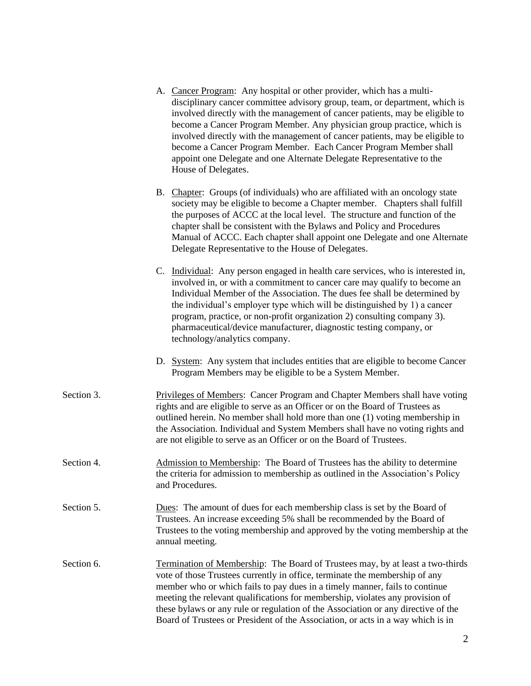- A. Cancer Program: Any hospital or other provider, which has a multidisciplinary cancer committee advisory group, team, or department, which is involved directly with the management of cancer patients, may be eligible to become a Cancer Program Member. Any physician group practice, which is involved directly with the management of cancer patients, may be eligible to become a Cancer Program Member. Each Cancer Program Member shall appoint one Delegate and one Alternate Delegate Representative to the House of Delegates.
	- B. Chapter: Groups (of individuals) who are affiliated with an oncology state society may be eligible to become a Chapter member. Chapters shall fulfill the purposes of ACCC at the local level. The structure and function of the chapter shall be consistent with the Bylaws and Policy and Procedures Manual of ACCC. Each chapter shall appoint one Delegate and one Alternate Delegate Representative to the House of Delegates.
	- C. Individual: Any person engaged in health care services, who is interested in, involved in, or with a commitment to cancer care may qualify to become an Individual Member of the Association. The dues fee shall be determined by the individual's employer type which will be distinguished by 1) a cancer program, practice, or non-profit organization 2) consulting company 3). pharmaceutical/device manufacturer, diagnostic testing company, or technology/analytics company.
	- D. System: Any system that includes entities that are eligible to become Cancer Program Members may be eligible to be a System Member.
- Section 3. Privileges of Members: Cancer Program and Chapter Members shall have voting rights and are eligible to serve as an Officer or on the Board of Trustees as outlined herein. No member shall hold more than one (1) voting membership in the Association. Individual and System Members shall have no voting rights and are not eligible to serve as an Officer or on the Board of Trustees.
- Section 4. Admission to Membership: The Board of Trustees has the ability to determine the criteria for admission to membership as outlined in the Association's Policy and Procedures.
- Section 5. Dues: The amount of dues for each membership class is set by the Board of Trustees. An increase exceeding 5% shall be recommended by the Board of Trustees to the voting membership and approved by the voting membership at the annual meeting.
- Section 6. Termination of Membership: The Board of Trustees may, by at least a two-thirds vote of those Trustees currently in office, terminate the membership of any member who or which fails to pay dues in a timely manner, fails to continue meeting the relevant qualifications for membership, violates any provision of these bylaws or any rule or regulation of the Association or any directive of the Board of Trustees or President of the Association, or acts in a way which is in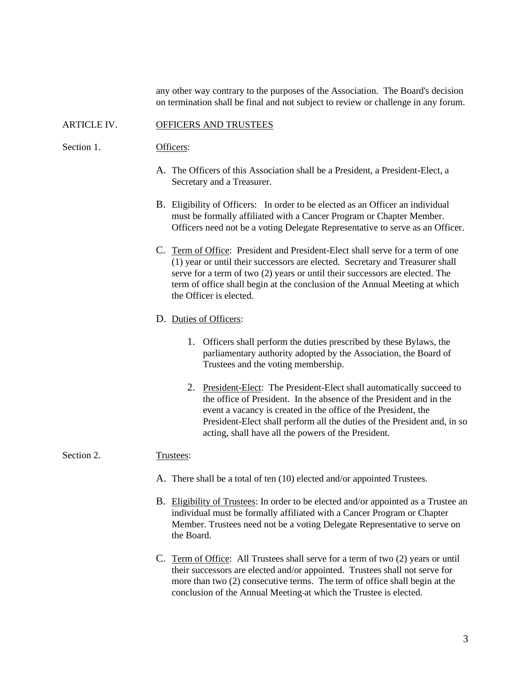any other way contrary to the purposes of the Association. The Board's decision on termination shall be final and not subject to review or challenge in any forum.

#### ARTICLE IV. OFFICERS AND TRUSTEES

Section 1. Officers:

- A. The Officers of this Association shall be a President, a President-Elect, a Secretary and a Treasurer.
- B. Eligibility of Officers: In order to be elected as an Officer an individual must be formally affiliated with a Cancer Program or Chapter Member. Officers need not be a voting Delegate Representative to serve as an Officer.
- C. Term of Office: President and President-Elect shall serve for a term of one (1) year or until their successors are elected. Secretary and Treasurer shall serve for a term of two (2) years or until their successors are elected. The term of office shall begin at the conclusion of the Annual Meeting at which the Officer is elected.

#### D. Duties of Officers:

- 1. Officers shall perform the duties prescribed by these Bylaws, the parliamentary authority adopted by the Association, the Board of Trustees and the voting membership.
- 2. President-Elect: The President-Elect shall automatically succeed to the office of President. In the absence of the President and in the event a vacancy is created in the office of the President, the President-Elect shall perform all the duties of the President and, in so acting, shall have all the powers of the President.

#### Section 2. Trustees:

- A. There shall be a total of ten (10) elected and/or appointed Trustees.
- B. Eligibility of Trustees: In order to be elected and/or appointed as a Trustee an individual must be formally affiliated with a Cancer Program or Chapter Member. Trustees need not be a voting Delegate Representative to serve on the Board.
- C. Term of Office: All Trustees shall serve for a term of two (2) years or until their successors are elected and/or appointed. Trustees shall not serve for more than two (2) consecutive terms. The term of office shall begin at the conclusion of the Annual Meeting at which the Trustee is elected.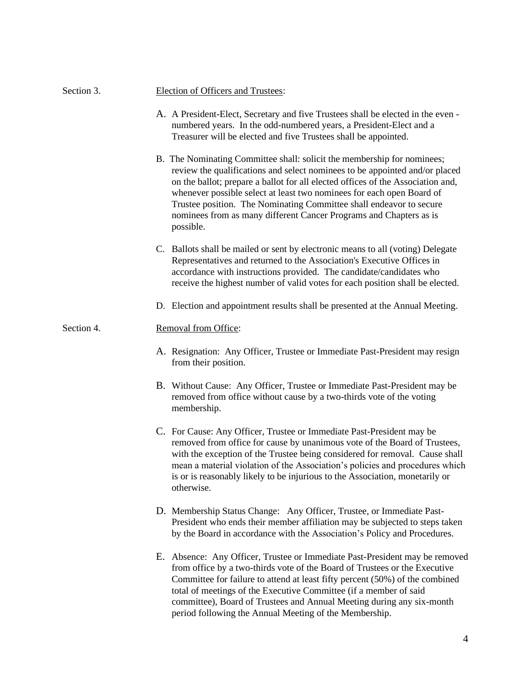| Section 3. | Election of Officers and Trustees:                                                                                                                                                                                                                                                                                                                                                                                                                                           |
|------------|------------------------------------------------------------------------------------------------------------------------------------------------------------------------------------------------------------------------------------------------------------------------------------------------------------------------------------------------------------------------------------------------------------------------------------------------------------------------------|
|            | A. A President-Elect, Secretary and five Trustees shall be elected in the even -<br>numbered years. In the odd-numbered years, a President-Elect and a<br>Treasurer will be elected and five Trustees shall be appointed.                                                                                                                                                                                                                                                    |
|            | B. The Nominating Committee shall: solicit the membership for nominees;<br>review the qualifications and select nominees to be appointed and/or placed<br>on the ballot; prepare a ballot for all elected offices of the Association and,<br>whenever possible select at least two nominees for each open Board of<br>Trustee position. The Nominating Committee shall endeavor to secure<br>nominees from as many different Cancer Programs and Chapters as is<br>possible. |
|            | C. Ballots shall be mailed or sent by electronic means to all (voting) Delegate<br>Representatives and returned to the Association's Executive Offices in<br>accordance with instructions provided. The candidate/candidates who<br>receive the highest number of valid votes for each position shall be elected.                                                                                                                                                            |
|            | D. Election and appointment results shall be presented at the Annual Meeting.                                                                                                                                                                                                                                                                                                                                                                                                |
| Section 4. | Removal from Office:                                                                                                                                                                                                                                                                                                                                                                                                                                                         |
|            | A. Resignation: Any Officer, Trustee or Immediate Past-President may resign<br>from their position.                                                                                                                                                                                                                                                                                                                                                                          |
|            | B. Without Cause: Any Officer, Trustee or Immediate Past-President may be<br>removed from office without cause by a two-thirds vote of the voting<br>membership.                                                                                                                                                                                                                                                                                                             |
|            | C. For Cause: Any Officer, Trustee or Immediate Past-President may be<br>removed from office for cause by unanimous vote of the Board of Trustees,<br>with the exception of the Trustee being considered for removal. Cause shall<br>mean a material violation of the Association's policies and procedures which<br>is or is reasonably likely to be injurious to the Association, monetarily or<br>otherwise.                                                              |
|            | D. Membership Status Change: Any Officer, Trustee, or Immediate Past-<br>President who ends their member affiliation may be subjected to steps taken<br>by the Board in accordance with the Association's Policy and Procedures.                                                                                                                                                                                                                                             |
|            | E. Absence: Any Officer, Trustee or Immediate Past-President may be removed<br>from office by a two-thirds vote of the Board of Trustees or the Executive<br>Committee for failure to attend at least fifty percent (50%) of the combined<br>total of meetings of the Executive Committee (if a member of said<br>committee), Board of Trustees and Annual Meeting during any six-month<br>period following the Annual Meeting of the Membership.                            |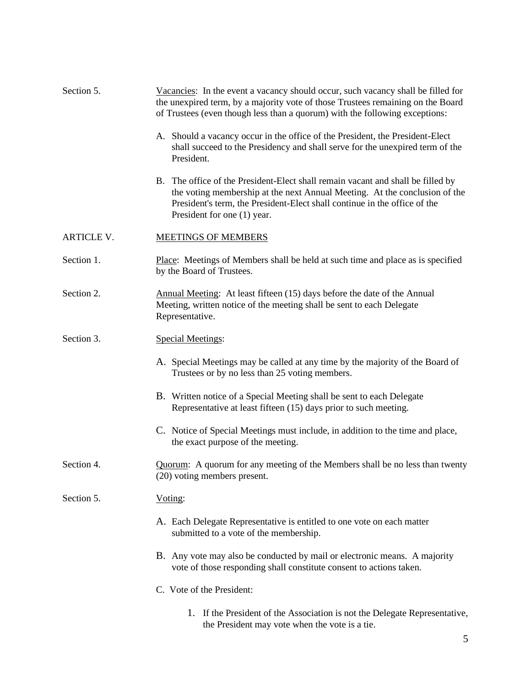| Section 5.        | Vacancies: In the event a vacancy should occur, such vacancy shall be filled for<br>the unexpired term, by a majority vote of those Trustees remaining on the Board<br>of Trustees (even though less than a quorum) with the following exceptions:                        |
|-------------------|---------------------------------------------------------------------------------------------------------------------------------------------------------------------------------------------------------------------------------------------------------------------------|
|                   | A. Should a vacancy occur in the office of the President, the President-Elect<br>shall succeed to the Presidency and shall serve for the unexpired term of the<br>President.                                                                                              |
|                   | B. The office of the President-Elect shall remain vacant and shall be filled by<br>the voting membership at the next Annual Meeting. At the conclusion of the<br>President's term, the President-Elect shall continue in the office of the<br>President for one (1) year. |
| <b>ARTICLE V.</b> | <b>MEETINGS OF MEMBERS</b>                                                                                                                                                                                                                                                |
| Section 1.        | Place: Meetings of Members shall be held at such time and place as is specified<br>by the Board of Trustees.                                                                                                                                                              |
| Section 2.        | Annual Meeting: At least fifteen (15) days before the date of the Annual<br>Meeting, written notice of the meeting shall be sent to each Delegate<br>Representative.                                                                                                      |
| Section 3.        | <b>Special Meetings:</b>                                                                                                                                                                                                                                                  |
|                   | A. Special Meetings may be called at any time by the majority of the Board of<br>Trustees or by no less than 25 voting members.                                                                                                                                           |
|                   | B. Written notice of a Special Meeting shall be sent to each Delegate<br>Representative at least fifteen (15) days prior to such meeting.                                                                                                                                 |
|                   | C. Notice of Special Meetings must include, in addition to the time and place,<br>the exact purpose of the meeting.                                                                                                                                                       |
| Section 4.        | Quorum: A quorum for any meeting of the Members shall be no less than twenty<br>(20) voting members present.                                                                                                                                                              |
| Section 5.        | Voting:                                                                                                                                                                                                                                                                   |
|                   | A. Each Delegate Representative is entitled to one vote on each matter<br>submitted to a vote of the membership.                                                                                                                                                          |
|                   | B. Any vote may also be conducted by mail or electronic means. A majority<br>vote of those responding shall constitute consent to actions taken.                                                                                                                          |
|                   | C. Vote of the President:                                                                                                                                                                                                                                                 |
|                   | 1. If the President of the Association is not the Delegate Representative,<br>the President may vote when the vote is a tie.                                                                                                                                              |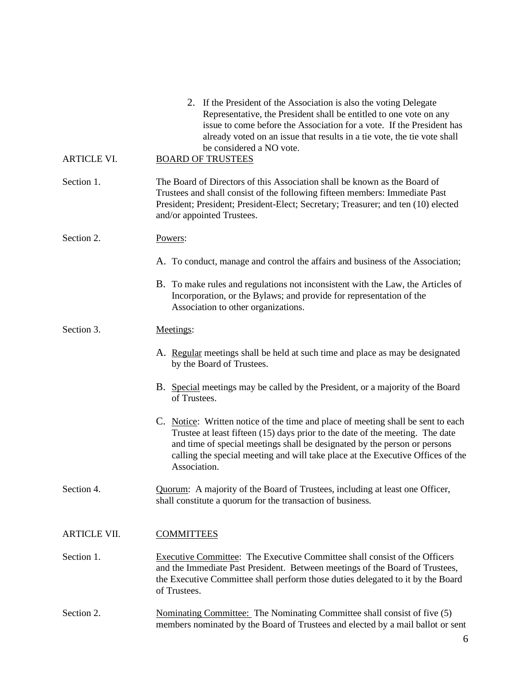| <b>ARTICLE VI.</b>  | 2. If the President of the Association is also the voting Delegate<br>Representative, the President shall be entitled to one vote on any<br>issue to come before the Association for a vote. If the President has<br>already voted on an issue that results in a tie vote, the tie vote shall<br>be considered a NO vote.<br><b>BOARD OF TRUSTEES</b> |
|---------------------|-------------------------------------------------------------------------------------------------------------------------------------------------------------------------------------------------------------------------------------------------------------------------------------------------------------------------------------------------------|
| Section 1.          | The Board of Directors of this Association shall be known as the Board of<br>Trustees and shall consist of the following fifteen members: Immediate Past<br>President; President; President-Elect; Secretary; Treasurer; and ten (10) elected<br>and/or appointed Trustees.                                                                           |
| Section 2.          | Powers:                                                                                                                                                                                                                                                                                                                                               |
|                     | A. To conduct, manage and control the affairs and business of the Association;                                                                                                                                                                                                                                                                        |
|                     | B. To make rules and regulations not inconsistent with the Law, the Articles of<br>Incorporation, or the Bylaws; and provide for representation of the<br>Association to other organizations.                                                                                                                                                         |
| Section 3.          | Meetings:                                                                                                                                                                                                                                                                                                                                             |
|                     | A. Regular meetings shall be held at such time and place as may be designated<br>by the Board of Trustees.                                                                                                                                                                                                                                            |
|                     | B. Special meetings may be called by the President, or a majority of the Board<br>of Trustees.                                                                                                                                                                                                                                                        |
|                     | C. Notice: Written notice of the time and place of meeting shall be sent to each<br>Trustee at least fifteen (15) days prior to the date of the meeting. The date<br>and time of special meetings shall be designated by the person or persons<br>calling the special meeting and will take place at the Executive Offices of the<br>Association.     |
| Section 4.          | Quorum: A majority of the Board of Trustees, including at least one Officer,<br>shall constitute a quorum for the transaction of business.                                                                                                                                                                                                            |
| <b>ARTICLE VII.</b> | <b>COMMITTEES</b>                                                                                                                                                                                                                                                                                                                                     |
| Section 1.          | Executive Committee: The Executive Committee shall consist of the Officers<br>and the Immediate Past President. Between meetings of the Board of Trustees,<br>the Executive Committee shall perform those duties delegated to it by the Board<br>of Trustees.                                                                                         |
| Section 2.          | Nominating Committee: The Nominating Committee shall consist of five (5)<br>members nominated by the Board of Trustees and elected by a mail ballot or sent                                                                                                                                                                                           |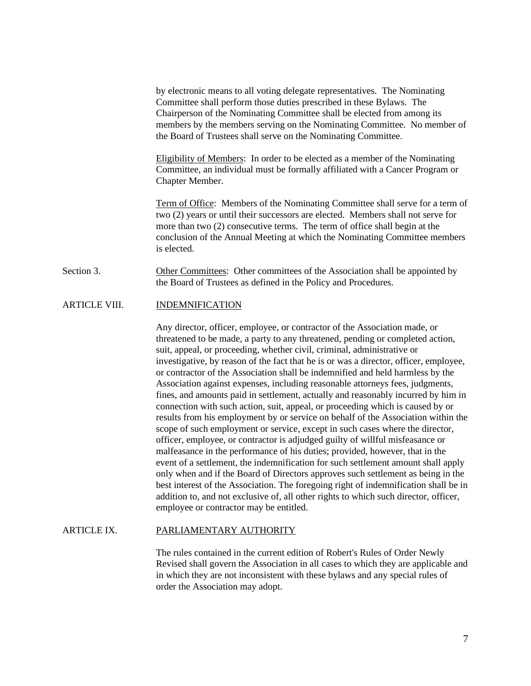by electronic means to all voting delegate representatives. The Nominating Committee shall perform those duties prescribed in these Bylaws. The Chairperson of the Nominating Committee shall be elected from among its members by the members serving on the Nominating Committee. No member of the Board of Trustees shall serve on the Nominating Committee.

Eligibility of Members: In order to be elected as a member of the Nominating Committee, an individual must be formally affiliated with a Cancer Program or Chapter Member.

Term of Office: Members of the Nominating Committee shall serve for a term of two (2) years or until their successors are elected. Members shall not serve for more than two (2) consecutive terms. The term of office shall begin at the conclusion of the Annual Meeting at which the Nominating Committee members is elected.

Section 3. Other Committees: Other committees of the Association shall be appointed by the Board of Trustees as defined in the Policy and Procedures.

#### ARTICLE VIII. **INDEMNIFICATION**

Any director, officer, employee, or contractor of the Association made, or threatened to be made, a party to any threatened, pending or completed action, suit, appeal, or proceeding, whether civil, criminal, administrative or investigative, by reason of the fact that he is or was a director, officer, employee, or contractor of the Association shall be indemnified and held harmless by the Association against expenses, including reasonable attorneys fees, judgments, fines, and amounts paid in settlement, actually and reasonably incurred by him in connection with such action, suit, appeal, or proceeding which is caused by or results from his employment by or service on behalf of the Association within the scope of such employment or service, except in such cases where the director, officer, employee, or contractor is adjudged guilty of willful misfeasance or malfeasance in the performance of his duties; provided, however, that in the event of a settlement, the indemnification for such settlement amount shall apply only when and if the Board of Directors approves such settlement as being in the best interest of the Association. The foregoing right of indemnification shall be in addition to, and not exclusive of, all other rights to which such director, officer, employee or contractor may be entitled.

#### ARTICLE IX. PARLIAMENTARY AUTHORITY

The rules contained in the current edition of Robert's Rules of Order Newly Revised shall govern the Association in all cases to which they are applicable and in which they are not inconsistent with these bylaws and any special rules of order the Association may adopt.